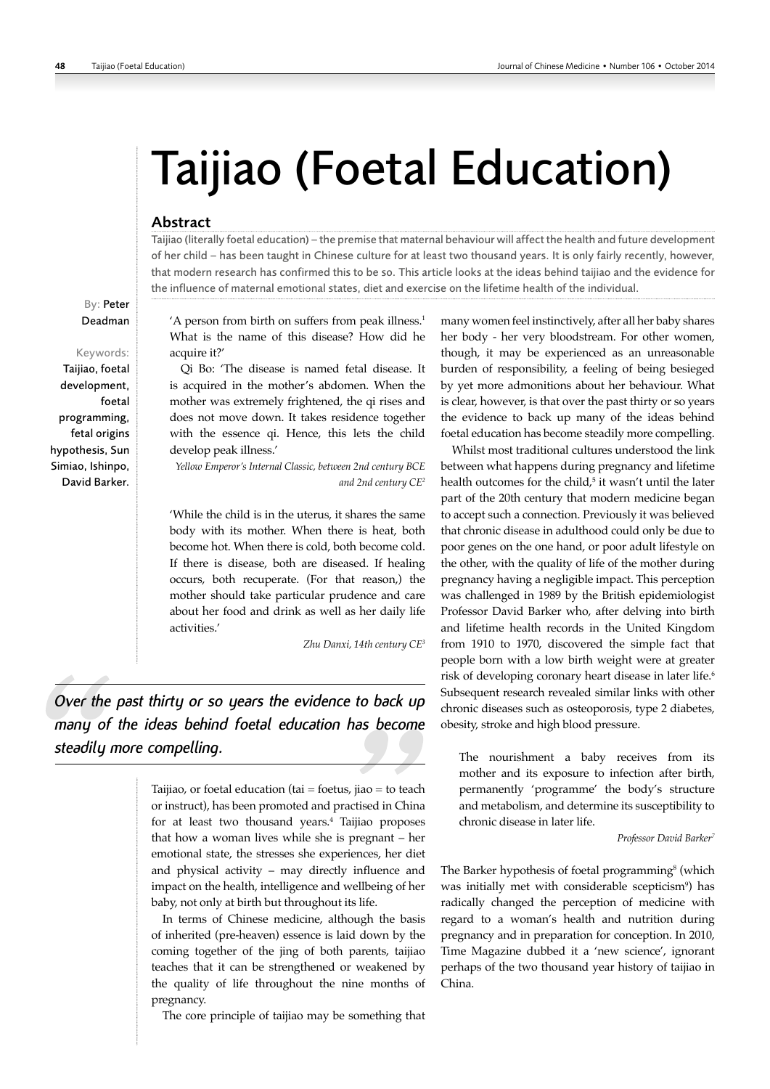# Taijiao (Foetal Education)

# Abstract

Taijiao (literally foetal education) – the premise that maternal behaviour will affect the health and future development of her child – has been taught in Chinese culture for at least two thousand years. It is only fairly recently, however, that modern research has confirmed this to be so. This article looks at the ideas behind taijiao and the evidence for the influence of maternal emotional states, diet and exercise on the lifetime health of the individual.

By: Peter Deadman

Keywords: Taijiao, foetal development, foetal programming, fetal origins hypothesis, Sun Simiao, Ishinpo, David Barker.

'A person from birth on suffers from peak illness.<sup>1</sup> What is the name of this disease? How did he acquire it?'

Qi Bo: 'The disease is named fetal disease. It is acquired in the mother's abdomen. When the mother was extremely frightened, the qi rises and does not move down. It takes residence together with the essence qi. Hence, this lets the child develop peak illness.'

*Yellow Emperor's Internal Classic, between 2nd century BCE and 2nd century CE2*

'While the child is in the uterus, it shares the same body with its mother. When there is heat, both become hot. When there is cold, both become cold. If there is disease, both are diseased. If healing occurs, both recuperate. (For that reason,) the mother should take particular prudence and care about her food and drink as well as her daily life activities.'

*Zhu Danxi, 14th century CE3*

*Over the past thirty or so years the evidence to back up many of the ideas behind foetal education has become steadily more compelling.* 

> Taijiao, or foetal education (tai  $=$  foetus, jiao  $=$  to teach or instruct), has been promoted and practised in China for at least two thousand years.4 Taijiao proposes that how a woman lives while she is pregnant – her emotional state, the stresses she experiences, her diet and physical activity – may directly influence and impact on the health, intelligence and wellbeing of her baby, not only at birth but throughout its life.

> In terms of Chinese medicine, although the basis of inherited (pre-heaven) essence is laid down by the coming together of the jing of both parents, taijiao teaches that it can be strengthened or weakened by the quality of life throughout the nine months of pregnancy.

The core principle of taijiao may be something that

many women feel instinctively, after all her baby shares her body - her very bloodstream. For other women, though, it may be experienced as an unreasonable burden of responsibility, a feeling of being besieged by yet more admonitions about her behaviour. What is clear, however, is that over the past thirty or so years the evidence to back up many of the ideas behind foetal education has become steadily more compelling.

Whilst most traditional cultures understood the link between what happens during pregnancy and lifetime health outcomes for the child,<sup>5</sup> it wasn't until the later part of the 20th century that modern medicine began to accept such a connection. Previously it was believed that chronic disease in adulthood could only be due to poor genes on the one hand, or poor adult lifestyle on the other, with the quality of life of the mother during pregnancy having a negligible impact. This perception was challenged in 1989 by the British epidemiologist Professor David Barker who, after delving into birth and lifetime health records in the United Kingdom from 1910 to 1970, discovered the simple fact that people born with a low birth weight were at greater risk of developing coronary heart disease in later life.<sup>6</sup> Subsequent research revealed similar links with other chronic diseases such as osteoporosis, type 2 diabetes, obesity, stroke and high blood pressure.

The nourishment a baby receives from its mother and its exposure to infection after birth, permanently 'programme' the body's structure and metabolism, and determine its susceptibility to chronic disease in later life.

*Professor David Barker7*

The Barker hypothesis of foetal programming $\delta$  (which was initially met with considerable scepticism<sup>9</sup>) has radically changed the perception of medicine with regard to a woman's health and nutrition during pregnancy and in preparation for conception. In 2010, Time Magazine dubbed it a 'new science', ignorant perhaps of the two thousand year history of taijiao in China.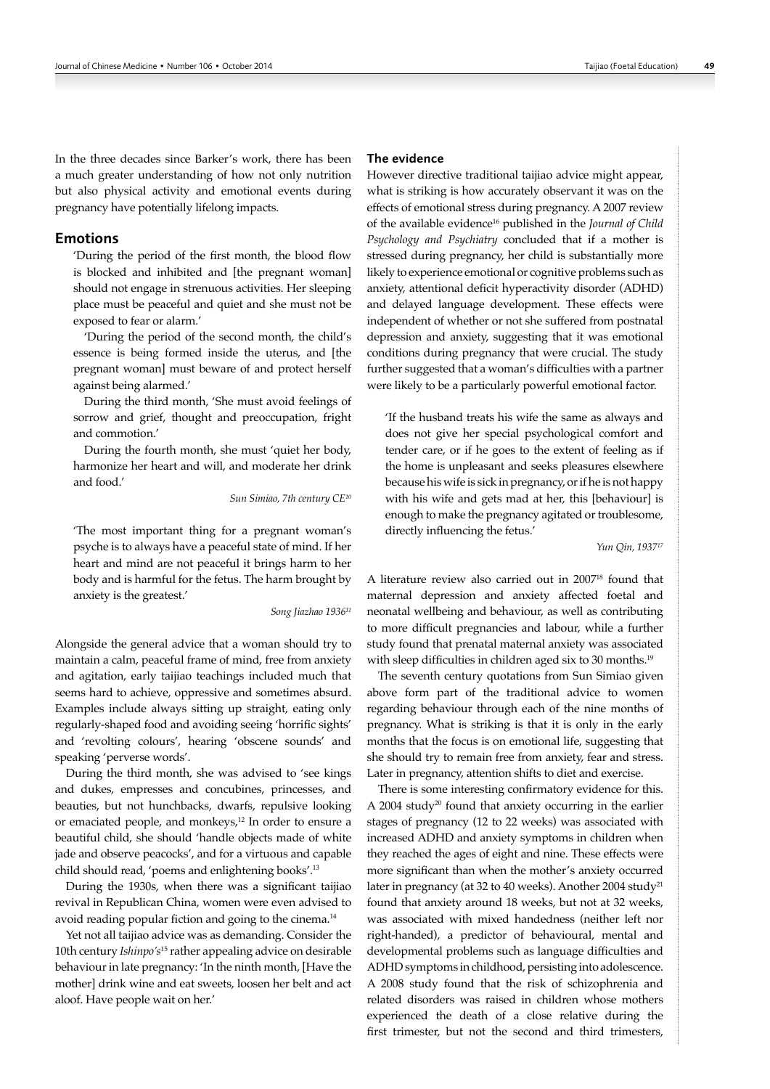In the three decades since Barker's work, there has been a much greater understanding of how not only nutrition but also physical activity and emotional events during pregnancy have potentially lifelong impacts.

## Emotions

'During the period of the first month, the blood flow is blocked and inhibited and [the pregnant woman] should not engage in strenuous activities. Her sleeping place must be peaceful and quiet and she must not be exposed to fear or alarm.'

'During the period of the second month, the child's essence is being formed inside the uterus, and [the pregnant woman] must beware of and protect herself against being alarmed.'

During the third month, 'She must avoid feelings of sorrow and grief, thought and preoccupation, fright and commotion.'

During the fourth month, she must 'quiet her body, harmonize her heart and will, and moderate her drink and food.'

*Sun Simiao, 7th century CE10*

'The most important thing for a pregnant woman's psyche is to always have a peaceful state of mind. If her heart and mind are not peaceful it brings harm to her body and is harmful for the fetus. The harm brought by anxiety is the greatest.'

*Song Jiazhao 193611*

Alongside the general advice that a woman should try to maintain a calm, peaceful frame of mind, free from anxiety and agitation, early taijiao teachings included much that seems hard to achieve, oppressive and sometimes absurd. Examples include always sitting up straight, eating only regularly-shaped food and avoiding seeing 'horrific sights' and 'revolting colours', hearing 'obscene sounds' and speaking 'perverse words'.

During the third month, she was advised to 'see kings and dukes, empresses and concubines, princesses, and beauties, but not hunchbacks, dwarfs, repulsive looking or emaciated people, and monkeys,<sup>12</sup> In order to ensure a beautiful child, she should 'handle objects made of white jade and observe peacocks', and for a virtuous and capable child should read, 'poems and enlightening books'.<sup>13</sup>

During the 1930s, when there was a significant taijiao revival in Republican China, women were even advised to avoid reading popular fiction and going to the cinema.<sup>14</sup>

Yet not all taijiao advice was as demanding. Consider the 10th century *Ishinpo's*15 rather appealing advice on desirable behaviour in late pregnancy: 'In the ninth month, [Have the mother] drink wine and eat sweets, loosen her belt and act aloof. Have people wait on her.'

## The evidence

However directive traditional taijiao advice might appear, what is striking is how accurately observant it was on the effects of emotional stress during pregnancy. A 2007 review of the available evidence16 published in the *Journal of Child Psychology and Psychiatry* concluded that if a mother is stressed during pregnancy, her child is substantially more likely to experience emotional or cognitive problems such as anxiety, attentional deficit hyperactivity disorder (ADHD) and delayed language development. These effects were independent of whether or not she suffered from postnatal depression and anxiety, suggesting that it was emotional conditions during pregnancy that were crucial. The study further suggested that a woman's difficulties with a partner were likely to be a particularly powerful emotional factor.

'If the husband treats his wife the same as always and does not give her special psychological comfort and tender care, or if he goes to the extent of feeling as if the home is unpleasant and seeks pleasures elsewhere because his wife is sick in pregnancy, or if he is not happy with his wife and gets mad at her, this [behaviour] is enough to make the pregnancy agitated or troublesome, directly influencing the fetus.'

*Yun Qin, 193717*

A literature review also carried out in 200718 found that maternal depression and anxiety affected foetal and neonatal wellbeing and behaviour, as well as contributing to more difficult pregnancies and labour, while a further study found that prenatal maternal anxiety was associated with sleep difficulties in children aged six to 30 months.<sup>19</sup>

The seventh century quotations from Sun Simiao given above form part of the traditional advice to women regarding behaviour through each of the nine months of pregnancy. What is striking is that it is only in the early months that the focus is on emotional life, suggesting that she should try to remain free from anxiety, fear and stress. Later in pregnancy, attention shifts to diet and exercise.

There is some interesting confirmatory evidence for this. A 2004 study20 found that anxiety occurring in the earlier stages of pregnancy (12 to 22 weeks) was associated with increased ADHD and anxiety symptoms in children when they reached the ages of eight and nine. These effects were more significant than when the mother's anxiety occurred later in pregnancy (at 32 to 40 weeks). Another 2004 study<sup>21</sup> found that anxiety around 18 weeks, but not at 32 weeks, was associated with mixed handedness (neither left nor right-handed), a predictor of behavioural, mental and developmental problems such as language difficulties and ADHD symptoms in childhood, persisting into adolescence. A 2008 study found that the risk of schizophrenia and related disorders was raised in children whose mothers experienced the death of a close relative during the first trimester, but not the second and third trimesters,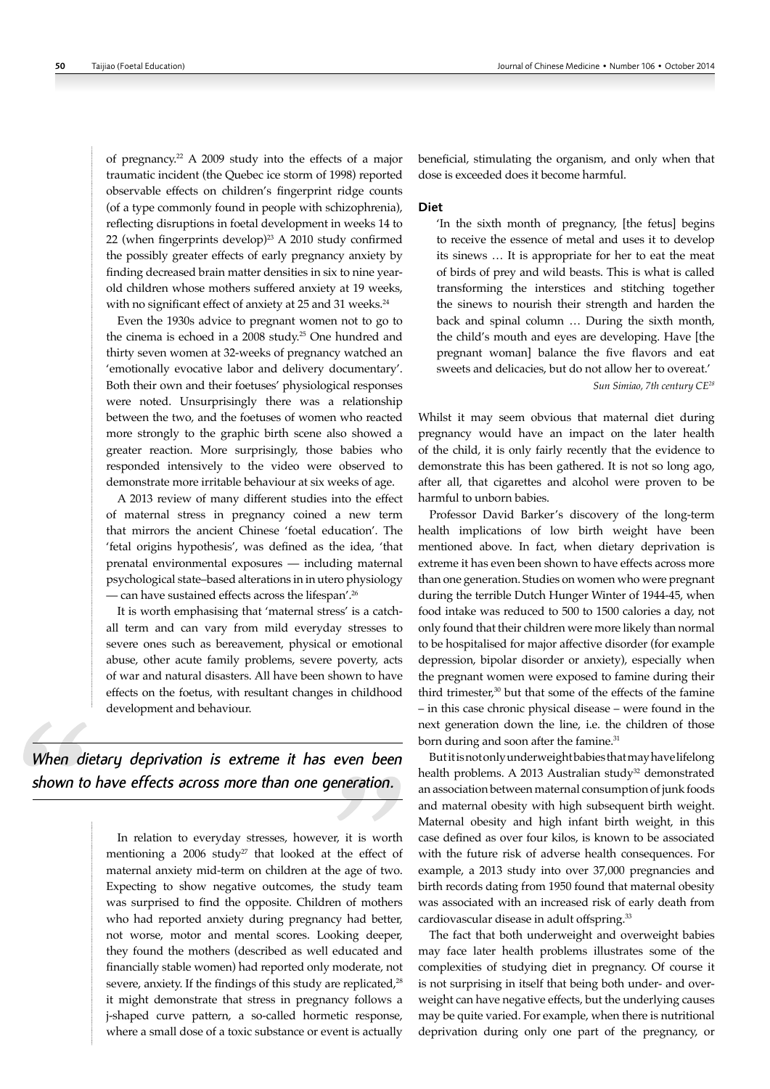of pregnancy.<sup>22</sup> A 2009 study into the effects of a major traumatic incident (the Quebec ice storm of 1998) reported observable effects on children's fingerprint ridge counts (of a type commonly found in people with schizophrenia), reflecting disruptions in foetal development in weeks 14 to 22 (when fingerprints develop) $^{23}$  A 2010 study confirmed the possibly greater effects of early pregnancy anxiety by finding decreased brain matter densities in six to nine yearold children whose mothers suffered anxiety at 19 weeks, with no significant effect of anxiety at 25 and 31 weeks.<sup>24</sup>

Even the 1930s advice to pregnant women not to go to the cinema is echoed in a 2008 study.<sup>25</sup> One hundred and thirty seven women at 32-weeks of pregnancy watched an 'emotionally evocative labor and delivery documentary'. Both their own and their foetuses' physiological responses were noted. Unsurprisingly there was a relationship between the two, and the foetuses of women who reacted more strongly to the graphic birth scene also showed a greater reaction. More surprisingly, those babies who responded intensively to the video were observed to demonstrate more irritable behaviour at six weeks of age.

A 2013 review of many different studies into the effect of maternal stress in pregnancy coined a new term that mirrors the ancient Chinese 'foetal education'. The 'fetal origins hypothesis', was defined as the idea, 'that prenatal environmental exposures — including maternal psychological state–based alterations in in utero physiology — can have sustained effects across the lifespan'.<sup>26</sup>

It is worth emphasising that 'maternal stress' is a catchall term and can vary from mild everyday stresses to severe ones such as bereavement, physical or emotional abuse, other acute family problems, severe poverty, acts of war and natural disasters. All have been shown to have effects on the foetus, with resultant changes in childhood development and behaviour.

*When dietary deprivation is extreme it has even been shown to have effects across more than one generation.*

> In relation to everyday stresses, however, it is worth mentioning a  $2006$  study<sup>27</sup> that looked at the effect of maternal anxiety mid-term on children at the age of two. Expecting to show negative outcomes, the study team was surprised to find the opposite. Children of mothers who had reported anxiety during pregnancy had better, not worse, motor and mental scores. Looking deeper, they found the mothers (described as well educated and financially stable women) had reported only moderate, not severe, anxiety. If the findings of this study are replicated,<sup>28</sup> it might demonstrate that stress in pregnancy follows a j-shaped curve pattern, a so-called hormetic response, where a small dose of a toxic substance or event is actually

beneficial, stimulating the organism, and only when that dose is exceeded does it become harmful.

#### Diet

'In the sixth month of pregnancy, [the fetus] begins to receive the essence of metal and uses it to develop its sinews … It is appropriate for her to eat the meat of birds of prey and wild beasts. This is what is called transforming the interstices and stitching together the sinews to nourish their strength and harden the back and spinal column … During the sixth month, the child's mouth and eyes are developing. Have [the pregnant woman] balance the five flavors and eat sweets and delicacies, but do not allow her to overeat.' *Sun Simiao, 7th century CE28*

Whilst it may seem obvious that maternal diet during pregnancy would have an impact on the later health of the child, it is only fairly recently that the evidence to demonstrate this has been gathered. It is not so long ago, after all, that cigarettes and alcohol were proven to be harmful to unborn babies.

Professor David Barker's discovery of the long-term health implications of low birth weight have been mentioned above. In fact, when dietary deprivation is extreme it has even been shown to have effects across more than one generation. Studies on women who were pregnant during the terrible Dutch Hunger Winter of 1944-45, when food intake was reduced to 500 to 1500 calories a day, not only found that their children were more likely than normal to be hospitalised for major affective disorder (for example depression, bipolar disorder or anxiety), especially when the pregnant women were exposed to famine during their third trimester, $30$  but that some of the effects of the famine – in this case chronic physical disease – were found in the next generation down the line, i.e. the children of those born during and soon after the famine.<sup>31</sup>

But it is not only underweight babies that may have lifelong health problems. A 2013 Australian study<sup>32</sup> demonstrated an association between maternal consumption of junk foods and maternal obesity with high subsequent birth weight. Maternal obesity and high infant birth weight, in this case defined as over four kilos, is known to be associated with the future risk of adverse health consequences. For example, a 2013 study into over 37,000 pregnancies and birth records dating from 1950 found that maternal obesity was associated with an increased risk of early death from cardiovascular disease in adult offspring.<sup>33</sup>

The fact that both underweight and overweight babies may face later health problems illustrates some of the complexities of studying diet in pregnancy. Of course it is not surprising in itself that being both under- and overweight can have negative effects, but the underlying causes may be quite varied. For example, when there is nutritional deprivation during only one part of the pregnancy, or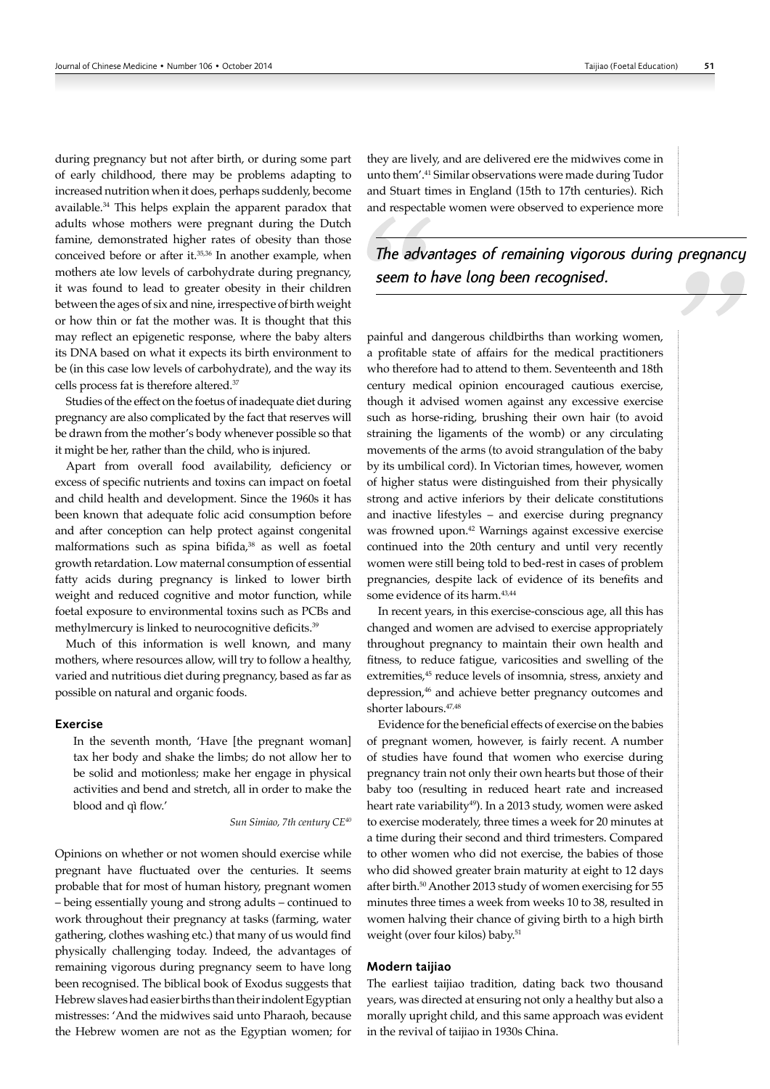during pregnancy but not after birth, or during some part of early childhood, there may be problems adapting to increased nutrition when it does, perhaps suddenly, become available.34 This helps explain the apparent paradox that adults whose mothers were pregnant during the Dutch famine, demonstrated higher rates of obesity than those conceived before or after it.35,36 In another example, when mothers ate low levels of carbohydrate during pregnancy, it was found to lead to greater obesity in their children between the ages of six and nine, irrespective of birth weight or how thin or fat the mother was. It is thought that this may reflect an epigenetic response, where the baby alters its DNA based on what it expects its birth environment to be (in this case low levels of carbohydrate), and the way its cells process fat is therefore altered.<sup>37</sup>

Studies of the effect on the foetus of inadequate diet during pregnancy are also complicated by the fact that reserves will be drawn from the mother's body whenever possible so that it might be her, rather than the child, who is injured.

Apart from overall food availability, deficiency or excess of specific nutrients and toxins can impact on foetal and child health and development. Since the 1960s it has been known that adequate folic acid consumption before and after conception can help protect against congenital malformations such as spina bifida,<sup>38</sup> as well as foetal growth retardation. Low maternal consumption of essential fatty acids during pregnancy is linked to lower birth weight and reduced cognitive and motor function, while foetal exposure to environmental toxins such as PCBs and methylmercury is linked to neurocognitive deficits.<sup>39</sup>

Much of this information is well known, and many mothers, where resources allow, will try to follow a healthy, varied and nutritious diet during pregnancy, based as far as possible on natural and organic foods.

#### Exercise

In the seventh month, 'Have [the pregnant woman] tax her body and shake the limbs; do not allow her to be solid and motionless; make her engage in physical activities and bend and stretch, all in order to make the blood and qì flow.'

*Sun Simiao, 7th century CE40*

Opinions on whether or not women should exercise while pregnant have fluctuated over the centuries. It seems probable that for most of human history, pregnant women – being essentially young and strong adults – continued to work throughout their pregnancy at tasks (farming, water gathering, clothes washing etc.) that many of us would find physically challenging today. Indeed, the advantages of remaining vigorous during pregnancy seem to have long been recognised. The biblical book of Exodus suggests that Hebrew slaves had easier births than their indolent Egyptian mistresses: 'And the midwives said unto Pharaoh, because the Hebrew women are not as the Egyptian women; for

they are lively, and are delivered ere the midwives come in unto them'.41 Similar observations were made during Tudor and Stuart times in England (15th to 17th centuries). Rich and respectable women were observed to experience more

*The advantages of remaining vigorous during pregnancy seem to have long been recognised.* 

painful and dangerous childbirths than working women, a profitable state of affairs for the medical practitioners who therefore had to attend to them. Seventeenth and 18th century medical opinion encouraged cautious exercise, though it advised women against any excessive exercise such as horse-riding, brushing their own hair (to avoid straining the ligaments of the womb) or any circulating movements of the arms (to avoid strangulation of the baby by its umbilical cord). In Victorian times, however, women of higher status were distinguished from their physically strong and active inferiors by their delicate constitutions and inactive lifestyles – and exercise during pregnancy was frowned upon.42 Warnings against excessive exercise continued into the 20th century and until very recently women were still being told to bed-rest in cases of problem pregnancies, despite lack of evidence of its benefits and some evidence of its harm.<sup>43,44</sup>

In recent years, in this exercise-conscious age, all this has changed and women are advised to exercise appropriately throughout pregnancy to maintain their own health and fitness, to reduce fatigue, varicosities and swelling of the extremities,<sup>45</sup> reduce levels of insomnia, stress, anxiety and depression,<sup>46</sup> and achieve better pregnancy outcomes and shorter labours.47,48

Evidence for the beneficial effects of exercise on the babies of pregnant women, however, is fairly recent. A number of studies have found that women who exercise during pregnancy train not only their own hearts but those of their baby too (resulting in reduced heart rate and increased heart rate variability<sup>49</sup>). In a 2013 study, women were asked to exercise moderately, three times a week for 20 minutes at a time during their second and third trimesters. Compared to other women who did not exercise, the babies of those who did showed greater brain maturity at eight to 12 days after birth.50 Another 2013 study of women exercising for 55 minutes three times a week from weeks 10 to 38, resulted in women halving their chance of giving birth to a high birth weight (over four kilos) baby.<sup>51</sup>

## Modern taijiao

The earliest taijiao tradition, dating back two thousand years, was directed at ensuring not only a healthy but also a morally upright child, and this same approach was evident in the revival of taijiao in 1930s China.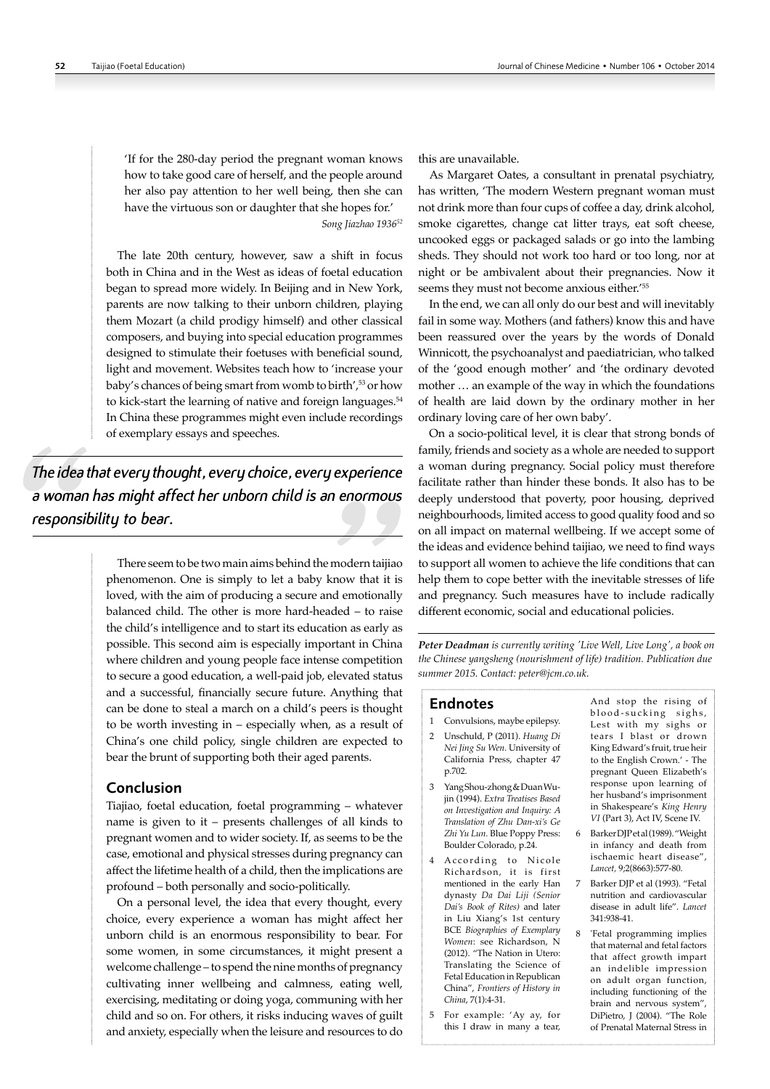'If for the 280-day period the pregnant woman knows how to take good care of herself, and the people around her also pay attention to her well being, then she can have the virtuous son or daughter that she hopes for.'

*Song Jiazhao 193652*

The late 20th century, however, saw a shift in focus both in China and in the West as ideas of foetal education began to spread more widely. In Beijing and in New York, parents are now talking to their unborn children, playing them Mozart (a child prodigy himself) and other classical composers, and buying into special education programmes designed to stimulate their foetuses with beneficial sound, light and movement. Websites teach how to 'increase your baby's chances of being smart from womb to birth',53 or how to kick-start the learning of native and foreign languages.<sup>54</sup> In China these programmes might even include recordings of exemplary essays and speeches.

*The idea that every thought, every choice, every experience a woman has might affect her unborn child is an enormous responsibility to bear.* 

> There seem to be two main aims behind the modern taijiao phenomenon. One is simply to let a baby know that it is loved, with the aim of producing a secure and emotionally balanced child. The other is more hard-headed – to raise the child's intelligence and to start its education as early as possible. This second aim is especially important in China where children and young people face intense competition to secure a good education, a well-paid job, elevated status and a successful, financially secure future. Anything that can be done to steal a march on a child's peers is thought to be worth investing in – especially when, as a result of China's one child policy, single children are expected to bear the brunt of supporting both their aged parents.

# Conclusion

Tiajiao, foetal education, foetal programming – whatever name is given to it – presents challenges of all kinds to pregnant women and to wider society. If, as seems to be the case, emotional and physical stresses during pregnancy can affect the lifetime health of a child, then the implications are profound – both personally and socio-politically.

On a personal level, the idea that every thought, every choice, every experience a woman has might affect her unborn child is an enormous responsibility to bear. For some women, in some circumstances, it might present a welcome challenge – to spend the nine months of pregnancy cultivating inner wellbeing and calmness, eating well, exercising, meditating or doing yoga, communing with her child and so on. For others, it risks inducing waves of guilt and anxiety, especially when the leisure and resources to do

this are unavailable.

As Margaret Oates, a consultant in prenatal psychiatry, has written, 'The modern Western pregnant woman must not drink more than four cups of coffee a day, drink alcohol, smoke cigarettes, change cat litter trays, eat soft cheese, uncooked eggs or packaged salads or go into the lambing sheds. They should not work too hard or too long, nor at night or be ambivalent about their pregnancies. Now it seems they must not become anxious either.'<sup>55</sup>

In the end, we can all only do our best and will inevitably fail in some way. Mothers (and fathers) know this and have been reassured over the years by the words of Donald Winnicott, the psychoanalyst and paediatrician, who talked of the 'good enough mother' and 'the ordinary devoted mother … an example of the way in which the foundations of health are laid down by the ordinary mother in her ordinary loving care of her own baby'.

On a socio-political level, it is clear that strong bonds of family, friends and society as a whole are needed to support a woman during pregnancy. Social policy must therefore facilitate rather than hinder these bonds. It also has to be deeply understood that poverty, poor housing, deprived neighbourhoods, limited access to good quality food and so on all impact on maternal wellbeing. If we accept some of the ideas and evidence behind taijiao, we need to find ways to support all women to achieve the life conditions that can help them to cope better with the inevitable stresses of life and pregnancy. Such measures have to include radically different economic, social and educational policies.

*Peter Deadman is currently writing 'Live Well, Live Long', a book on the Chinese yangsheng (nourishment of life) tradition. Publication due summer 2015. Contact: peter@jcm.co.uk.*

## Endnotes

- 1 Convulsions, maybe epilepsy.
- 2 Unschuld, P (2011). *Huang Di Nei Jing Su Wen.* University of California Press, chapter 47 p.702.
- 3 Yang Shou-zhong & Duan Wujin (1994). *Extra Treatises Based on Investigation and Inquiry: A Translation of Zhu Dan-xi's Ge Zhi Yu Lun.* Blue Poppy Press: Boulder Colorado, p.24.
- 4 According to Nicole Richardson, it is first mentioned in the early Han dynasty *Da Dai Liji (Senior Dai's Book of Rites)* and later in Liu Xiang's 1st century BCE *Biographies of Exemplary Women*: see Richardson, N (2012). "The Nation in Utero: Translating the Science of Fetal Education in Republican China", *Frontiers of History in China*, 7(1):4-31.
- 5 For example: 'Ay ay, for this I draw in many a tear,

And stop the rising of blood - sucking sighs, Lest with my sighs or tears I blast or drown King Edward's fruit, true heir to the English Crown.' - The pregnant Queen Elizabeth's response upon learning of her husband's imprisonment in Shakespeare's *King Henry VI* (Part 3), Act IV, Scene IV.

- 6 Barker DJP et al (1989). "Weight in infancy and death from ischaemic heart disease", *Lancet,* 9;2(8663):577-80.
- 7 Barker DJP et al (1993). "Fetal nutrition and cardiovascular disease in adult life". *Lancet* 341:938-41.
- 8 'Fetal programming implies that maternal and fetal factors that affect growth impart an indelible impression on adult organ function, including functioning of the brain and nervous system", DiPietro, J (2004). "The Role of Prenatal Maternal Stress in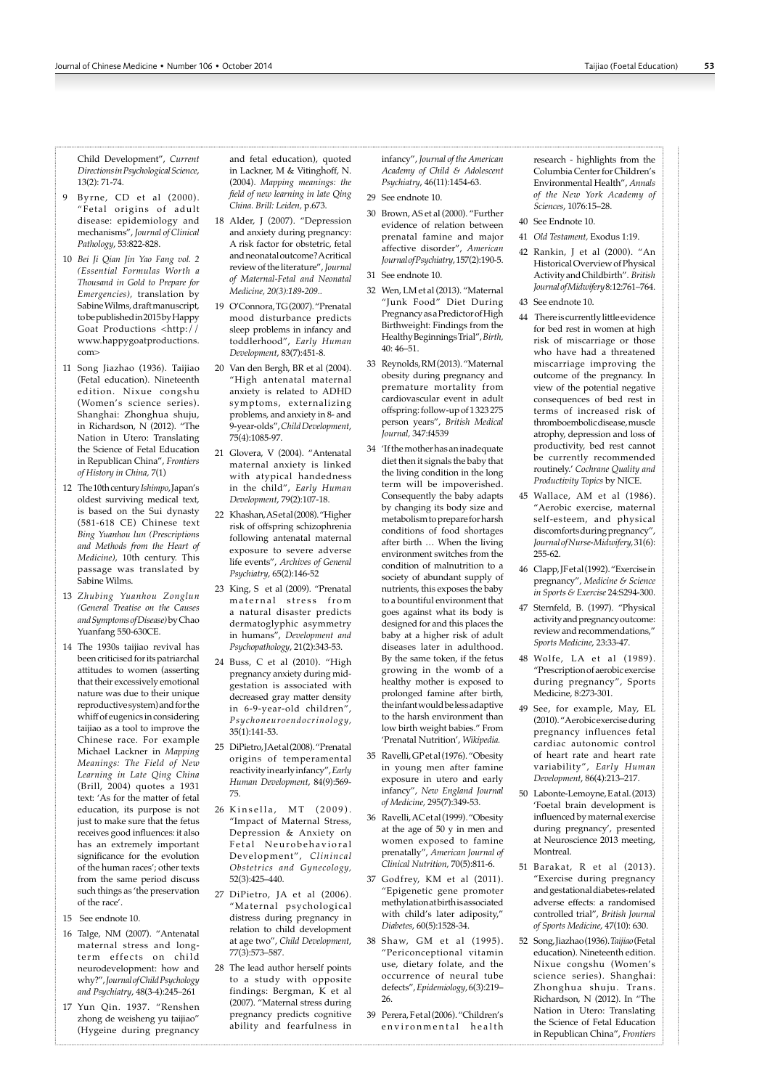Child Development", *Current Directions in Psychological Science*, 13(2): 71-74.

- Byrne, CD et al (2000). "Fetal origins of adult disease: epidemiology and mechanisms", *Journal of Clinical Pathology*, 53:822-828.
- 10 *Bei Ji Qian Jin Yao Fang vol. 2 (Essential Formulas Worth a Thousand in Gold to Prepare for Emergencies),* translation by Sabine Wilms, draft manuscript, to be published in 2015 by Happy Goat Productions <http:// www.happygoatproductions. com>
- 11 Song Jiazhao (1936). Taijiao (Fetal education). Nineteenth edition. Nixue congshu (Women's science series). Shanghai: Zhonghua shuju, in Richardson, N (2012). "The Nation in Utero: Translating the Science of Fetal Education in Republican China", *Frontiers of History in China,* 7(1)
- 12 The 10th century *Ishimpo*, Japan's oldest surviving medical text, is based on the Sui dynasty (581-618 CE) Chinese text *Bing Yuanhou lun (Prescriptions and Methods from the Heart of Medicine)*, 10th century. This passage was translated by Sabine Wilms.
- 13 *Zhubing Yuanhou Zonglun (General Treatise on the Causes and Symptoms of Disease)* by Chao Yuanfang 550-630CE.
- 14 The 1930s taijiao revival has been criticised for its patriarchal attitudes to women (asserting that their excessively emotional nature was due to their unique reproductive system) and for the whiff of eugenics in considering taijiao as a tool to improve the Chinese race. For example Michael Lackner in *Mapping Meanings: The Field of New Learning in Late Qing China* (Brill, 2004) quotes a 1931 text: 'As for the matter of fetal education, its purpose is not just to make sure that the fetus receives good influences: it also has an extremely important significance for the evolution of the human races'; other texts from the same period discuss such things as 'the preservation of the race'.
- 16 Talge, NM (2007). "Antenatal maternal stress and longterm effects on child neurodevelopment: how and

15 See endnote 10.

why?", *Journal of Child Psychology and Psychiatry*, 48(3-4):245–261 17 Yun Qin. 1937. "Renshen zhong de weisheng yu taijiao" (Hygeine during pregnancy

and fetal education), quoted in Lackner, M & Vitinghoff, N. (2004). *Mapping meanings: the field of new learning in late Qing China. Brill: Leiden,* p.673.

- 18 Alder, J (2007). "Depression and anxiety during pregnancy: A risk factor for obstetric, fetal and neonatal outcome? A critical review of the literature", *Journal of Maternal-Fetal and Neonatal Medicine, 20(3):189-209..*
- 19 O'Connora, TG (2007). "Prenatal mood disturbance predicts sleep problems in infancy and toddlerhood", *Early Human Development*, 83(7):451-8.
- 20 Van den Bergh, BR et al (2004). "High antenatal maternal anxiety is related to ADHD symptoms, externalizing problems, and anxiety in 8- and 9-year-olds", *Child Development*, 75(4):1085-97.
- 21 Glovera, V (2004). "Antenatal maternal anxiety is linked with atypical handedness in the child", *Early Human Development*, 79(2):107-18.
- 22 Khashan, AS et al (2008). "Higher risk of offspring schizophrenia following antenatal maternal exposure to severe adverse life events", *Archives of General Psychiatry*, 65(2):146-52
- 23 King, S et al (2009). "Prenatal maternal stress from a natural disaster predicts dermatoglyphic asymmetry in humans", *Development and Psychopathology*, 21(2):343-53.
- 24 Buss, C et al. (2010). "High pregnancy anxiety during midgestation is associated with decreased gray matter density in 6-9-year-old children", *Psychoneuroendocrinology,* 35(1):141-53.
- 25 DiPietro, JA et al (2008). "Prenatal origins of temperamental reactivity in early infancy", *Early Human Development*, 84(9):569- 75.
- 26 Kinsella, MT (2009). "Impact of Maternal Stress, Depression & Anxiety on Fetal Neurobehavioral Development", *Clinincal Obstetrics and Gynecology,* 52(3):425–440.
- 27 DiPietro, JA et al (2006). "Maternal psychological distress during pregnancy in relation to child development at age two", *Child Development*, 77(3):573–587.
- 28 The lead author herself points to a study with opposite findings: Bergman, K et al (2007). "Maternal stress during pregnancy predicts cognitive ability and fearfulness in

infancy", *Journal of the American Academy of Child & Adolescent Psychiatry*, 46(11):1454-63. 29 See endnote 10.

- 30 Brown, AS et al (2000). "Further evidence of relation between prenatal famine and major affective disorder", *American Journal of Psychiatry*, 157(2):190-5.
- 31 See endnote 10.
- 32 Wen, LM et al (2013). "Maternal "Junk Food" Diet During Pregnancy as a Predictor of High Birthweight: Findings from the Healthy Beginnings Trial", *Birth,* 40: 46–51.
- 33 Reynolds, RM (2013). "Maternal obesity during pregnancy and premature mortality from cardiovascular event in adult offspring: follow-up of 1 323 275 person years", *British Medical Journal,* 347:f4539
- 34 'If the mother has an inadequate diet then it signals the baby that the living condition in the long term will be impoverished. Consequently the baby adapts by changing its body size and metabolism to prepare for harsh conditions of food shortages after birth … When the living environment switches from the condition of malnutrition to a society of abundant supply of nutrients, this exposes the baby to a bountiful environment that goes against what its body is designed for and this places the baby at a higher risk of adult diseases later in adulthood. By the same token, if the fetus growing in the womb of a healthy mother is exposed to prolonged famine after birth, the infant would be less adaptive to the harsh environment than low birth weight babies." From 'Prenatal Nutrition', *Wikipedia.*
- 35 Ravelli, GP et al (1976). "Obesity in young men after famine exposure in utero and early infancy", *New England Journal of Medicine,* 295(7):349-53.
- 36 Ravelli, AC et al (1999). "Obesity at the age of 50 y in men and women exposed to famine prenatally", *American Journal of Clinical Nutrition,* 70(5):811-6.
- 37 Godfrey, KM et al (2011). "Epigenetic gene promoter methylation at birth is associated with child's later adiposity," *Diabetes*, 60(5):1528-34.
- 38 Shaw, GM et al (1995). "Periconceptional vitamin use, dietary folate, and the occurrence of neural tube defects", *Epidemiology*, 6(3):219– 26.
- 39 Perera, F et al (2006). "Children's environmental health

research - highlights from the Columbia Center for Children's Environmental Health", *Annals of the New York Academy of Sciences*, 1076:15–28.

- 40 See Endnote 10.
- 41 *Old Testament,* Exodus 1:19. 42 Rankin, J et al (2000). "An Historical Overview of Physical Activity and Childbirth". *British Journal of Midwifery* 8:12:761–764.
- 43 See endnote 10.
- 44 There is currently little evidence for bed rest in women at high risk of miscarriage or those who have had a threatened miscarriage improving the outcome of the pregnancy. In view of the potential negative consequences of bed rest in terms of increased risk of thromboembolic disease, muscle atrophy, depression and loss of productivity, bed rest cannot be currently recommended routinely.' *Cochrane Quality and Productivity Topics* by NICE.
- 45 Wallace, AM et al (1986). "Aerobic exercise, maternal self-esteem, and physical discomforts during pregnancy", *Journal of Nurse-Midwifery,* 31(6): 255-62.
- 46 Clapp, JF et al (1992). "Exercise in pregnancy", *Medicine & Science in Sports & Exercise* 24:S294-300.
- 47 Sternfeld, B. (1997). "Physical activity and pregnancy outcome: review and recommendations," *Sports Medicine*, 23:33-47.
- 48 Wolfe, LA et al (1989). "Prescription of aerobic exercise during pregnancy", Sports Medicine, 8:273-301.
- 49 See, for example, May, EL (2010). "Aerobic exercise during pregnancy influences fetal cardiac autonomic control of heart rate and heart rate variability", *Early Human Development*, 86(4):213–217.
- 50 Labonte-Lemoyne, E at al. (2013) 'Foetal brain development is influenced by maternal exercise during pregnancy', presented at Neuroscience 2013 meeting, Montreal.
- 51 Barakat, R et al (2013). "Exercise during pregnancy and gestational diabetes-related adverse effects: a randomised controlled trial", *British Journal of Sports Medicine*, 47(10): 630.
- 52 Song, Jiazhao (1936). *Taijiao* (Fetal education). Nineteenth edition. Nixue congshu (Women's science series). Shanghai: Zhonghua shuju. Trans. Richardson, N (2012). In "The Nation in Utero: Translating the Science of Fetal Education in Republican China", *Frontiers*